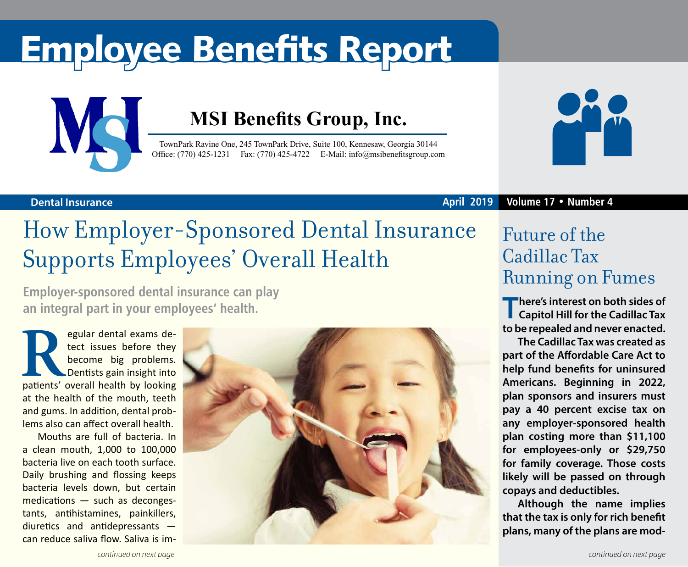# Employee Benefits Report



### **MSI Benefits Group, Inc.**

TownPark Ravine One, 245 TownPark Drive, Suite 100, Kennesaw, Georgia 30144 Office: (770) 425-1231 Fax: (770) 425-4722 E-Mail: [info@msibenefitsgroup.com](mailto:info@msibenefitsgroup.com)



### **Dental Insurance April 2019 Volume 17 • Number 4**

### How Employer-Sponsored Dental Insurance Supports Employees' Overall Health

**Employer-sponsored dental insurance can play an integral part in your employees' health.**

**Regular dental exams de-**<br>tect issues before they<br>become big problems.<br>Dentists gain insight into<br>patients' overall health by looking tect issues before they become big problems. Dentists gain insight into at the health of the mouth, teeth and gums. In addition, dental problems also can affect overall health.

Mouths are full of bacteria. In a clean mouth, 1,000 to 100,000 bacteria live on each tooth surface. Daily brushing and flossing keeps bacteria levels down, but certain medications — such as decongestants, antihistamines, painkillers, diuretics and antidepressants can reduce saliva flow. Saliva is im-



### Future of the Cadillac Tax Running on Fumes

**There's interest on both sides of <br>Capitol Hill for the Cadillac Tax to be repealed and never enacted.**

**The Cadillac Tax was created as part of the Affordable Care Act to help fund benefits for uninsured Americans. Beginning in 2022, plan sponsors and insurers must pay a 40 percent excise tax on any employer-sponsored health plan costing more than \$11,100 for employees-only or \$29,750 for family coverage. Those costs likely will be passed on through copays and deductibles.**

**Although the name implies that the tax is only for rich benefit plans, many of the plans are mod-**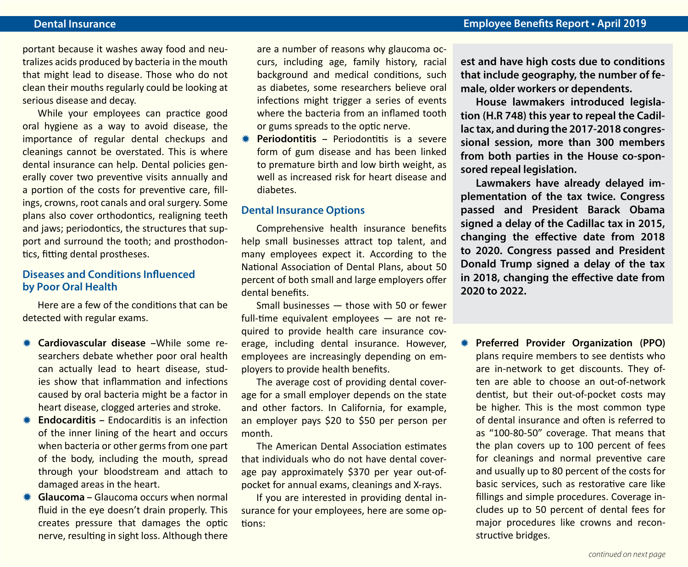portant because it washes away food and neutralizes acids produced by bacteria in the mouth that might lead to disease. Those who do not clean their mouths regularly could be looking at serious disease and decay.

While your employees can practice good oral hygiene as a way to avoid disease, the importance of regular dental checkups and cleanings cannot be overstated. This is where dental insurance can help. Dental policies generally cover two preventive visits annually and a portion of the costs for preventive care, fillings, crowns, root canals and oral surgery. Some plans also cover orthodontics, realigning teeth and jaws; periodontics, the structures that support and surround the tooth; and prosthodontics, fitting dental prostheses.

#### **Diseases and Conditions Influenced by Poor Oral Health**

Here are a few of the conditions that can be detected with regular exams.

- **Cardiovascular disease –**While some researchers debate whether poor oral health can actually lead to heart disease, studies show that inflammation and infections caused by oral bacteria might be a factor in heart disease, clogged arteries and stroke.
- **K Endocarditis –** Endocarditis is an infection of the inner lining of the heart and occurs when bacteria or other germs from one part of the body, including the mouth, spread through your bloodstream and attach to damaged areas in the heart.
- **K** Glaucoma Glaucoma occurs when normal fluid in the eye doesn't drain properly. This creates pressure that damages the optic nerve, resulting in sight loss. Although there

are a number of reasons why glaucoma occurs, including age, family history, racial background and medical conditions, such as diabetes, some researchers believe oral infections might trigger a series of events where the bacteria from an inflamed tooth or gums spreads to the optic nerve.

**Periodontitis – Periodontitis is a severe** form of gum disease and has been linked to premature birth and low birth weight, as well as increased risk for heart disease and diabetes.

### **Dental Insurance Options**

Comprehensive health insurance benefits help small businesses attract top talent, and many employees expect it. According to the National Association of Dental Plans, about 50 percent of both small and large employers offer dental benefits.

Small businesses — those with 50 or fewer full-time equivalent employees — are not required to provide health care insurance coverage, including dental insurance. However, employees are increasingly depending on employers to provide health benefits.

The average cost of providing dental coverage for a small employer depends on the state and other factors. In California, for example, an employer pays \$20 to \$50 per person per month.

The American Dental Association estimates that individuals who do not have dental coverage pay approximately \$370 per year out-ofpocket for annual exams, cleanings and X-rays.

If you are interested in providing dental insurance for your employees, here are some options:

**est and have high costs due to conditions that include geography, the number of female, older workers or dependents.**

**House lawmakers introduced legislation (H.R 748) this year to repeal the Cadillac tax, and during the 2017-2018 congressional session, more than 300 members from both parties in the House co-sponsored repeal legislation.**

**Lawmakers have already delayed implementation of the tax twice. Congress passed and President Barack Obama signed a delay of the Cadillac tax in 2015, changing the effective date from 2018 to 2020. Congress passed and President Donald Trump signed a delay of the tax in 2018, changing the effective date from 2020 to 2022.** 

**K** Preferred Provider Organization (PPO) plans require members to see dentists who are in-network to get discounts. They often are able to choose an out-of-network dentist, but their out-of-pocket costs may be higher. This is the most common type of dental insurance and often is referred to as "100-80-50" coverage. That means that the plan covers up to 100 percent of fees for cleanings and normal preventive care and usually up to 80 percent of the costs for basic services, such as restorative care like fillings and simple procedures. Coverage includes up to 50 percent of dental fees for major procedures like crowns and reconstructive bridges.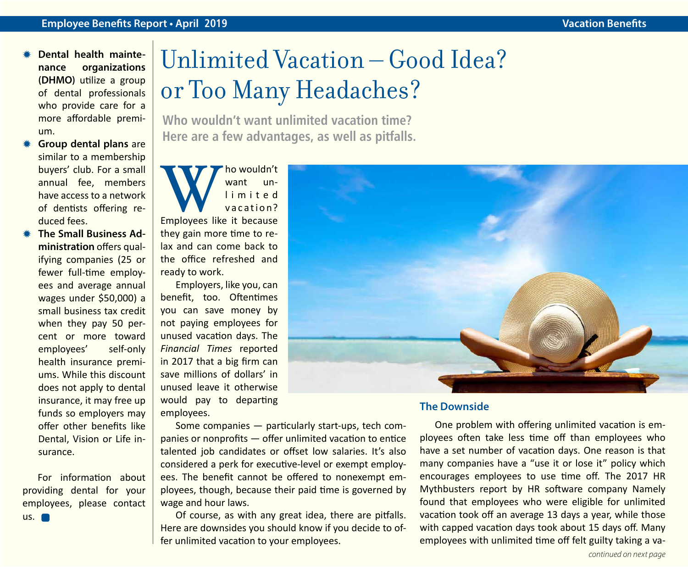- **Dental health maintenance organizations (DHMO)** utilize a group of dental professionals who provide care for a more affordable premium.
- **Group dental plans are** similar to a membership buyers' club. For a small annual fee, members have access to a network of dentists offering reduced fees.
- **K** The Small Business Ad**ministration** offers qualifying companies (25 or fewer full-time employees and average annual wages under \$50,000) a small business tax credit when they pay 50 percent or more toward employees' self-only health insurance premiums. While this discount does not apply to dental insurance, it may free up funds so employers may offer other benefits like Dental, Vision or Life insurance.

For information about providing dental for your employees, please contact  $\mathsf{u}$ s.

# Unlimited Vacation – Good Idea? or Too Many Headaches?

**Who wouldn't want unlimited vacation time? Here are a few advantages, as well as pitfalls.**



Employers, like you, can benefit, too. Oftentimes you can save money by not paying employees for unused vacation days. The *Financial Times* reported in 2017 that a big firm can save millions of dollars' in unused leave it otherwise would pay to departing employees.

Some companies — particularly start-ups, tech companies or nonprofits — offer unlimited vacation to entice talented job candidates or offset low salaries. It's also considered a perk for executive-level or exempt employees. The benefit cannot be offered to nonexempt employees, though, because their paid time is governed by wage and hour laws.

Of course, as with any great idea, there are pitfalls. Here are downsides you should know if you decide to offer unlimited vacation to your employees.



#### **The Downside**

One problem with offering unlimited vacation is employees often take less time off than employees who have a set number of vacation days. One reason is that many companies have a "use it or lose it" policy which encourages employees to use time off. The 2017 HR Mythbusters report by HR software company Namely found that employees who were eligible for unlimited vacation took off an average 13 days a year, while those with capped vacation days took about 15 days off. Many employees with unlimited time off felt guilty taking a va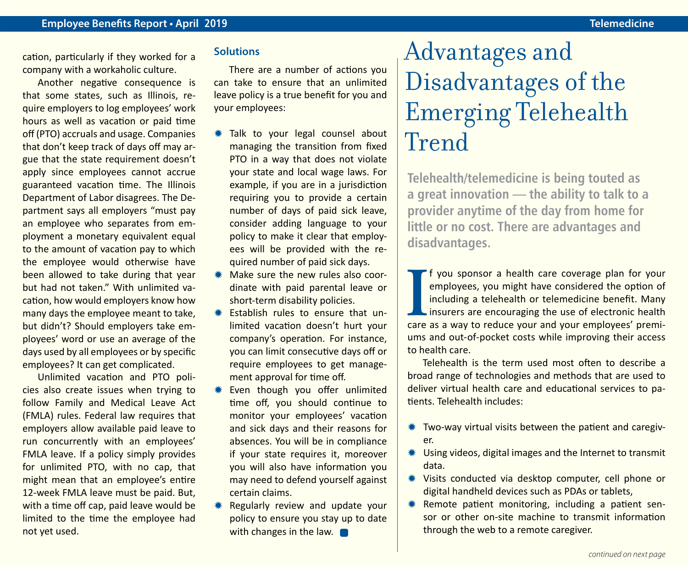cation, particularly if they worked for a company with a workaholic culture.

Another negative consequence is that some states, such as Illinois, require employers to log employees' work hours as well as vacation or paid time off (PTO) accruals and usage. Companies that don't keep track of days off may argue that the state requirement doesn't apply since employees cannot accrue guaranteed vacation time. The Illinois Department of Labor disagrees. The Department says all employers "must pay an employee who separates from employment a monetary equivalent equal to the amount of vacation pay to which the employee would otherwise have been allowed to take during that year but had not taken." With unlimited vacation, how would employers know how many days the employee meant to take, but didn't? Should employers take employees' word or use an average of the days used by all employees or by specific employees? It can get complicated.

Unlimited vacation and PTO policies also create issues when trying to follow Family and Medical Leave Act (FMLA) rules. Federal law requires that employers allow available paid leave to run concurrently with an employees' FMLA leave. If a policy simply provides for unlimited PTO, with no cap, that might mean that an employee's entire 12-week FMLA leave must be paid. But, with a time off cap, paid leave would be limited to the time the employee had not yet used.

### **Solutions**

There are a number of actions you can take to ensure that an unlimited leave policy is a true benefit for you and your employees:

- **\* Talk to your legal counsel about** managing the transition from fixed PTO in a way that does not violate your state and local wage laws. For example, if you are in a jurisdiction requiring you to provide a certain number of days of paid sick leave, consider adding language to your policy to make it clear that employees will be provided with the required number of paid sick days.
- $*$  Make sure the new rules also coordinate with paid parental leave or short-term disability policies.
- $*$  Establish rules to ensure that unlimited vacation doesn't hurt your company's operation. For instance, you can limit consecutive days off or require employees to get management approval for time off.
- **\*** Even though you offer unlimited time off, you should continue to monitor your employees' vacation and sick days and their reasons for absences. You will be in compliance if your state requires it, moreover you will also have information you may need to defend yourself against certain claims.
- Regularly review and update your policy to ensure you stay up to date with changes in the law.

### Advantages and Disadvantages of the Emerging Telehealth Trend

**Telehealth/telemedicine is being touted as a great innovation — the ability to talk to a provider anytime of the day from home for little or no cost. There are advantages and disadvantages.** 

**I** f you sponsor a health care coverage plan for your employees, you might have considered the option of including a telehealth or telemedicine benefit. Many insurers are encouraging the use of electronic health care as a f you sponsor a health care coverage plan for your employees, you might have considered the option of including a telehealth or telemedicine benefit. Many insurers are encouraging the use of electronic health ums and out-of-pocket costs while improving their access to health care.

Telehealth is the term used most often to describe a broad range of technologies and methods that are used to deliver virtual health care and educational services to patients. Telehealth includes:

- $*$  Two-way virtual visits between the patient and caregiver.
- $*$  Using videos, digital images and the Internet to transmit data.
- \* Visits conducted via desktop computer, cell phone or digital handheld devices such as PDAs or tablets,
- **\*** Remote patient monitoring, including a patient sensor or other on-site machine to transmit information through the web to a remote caregiver.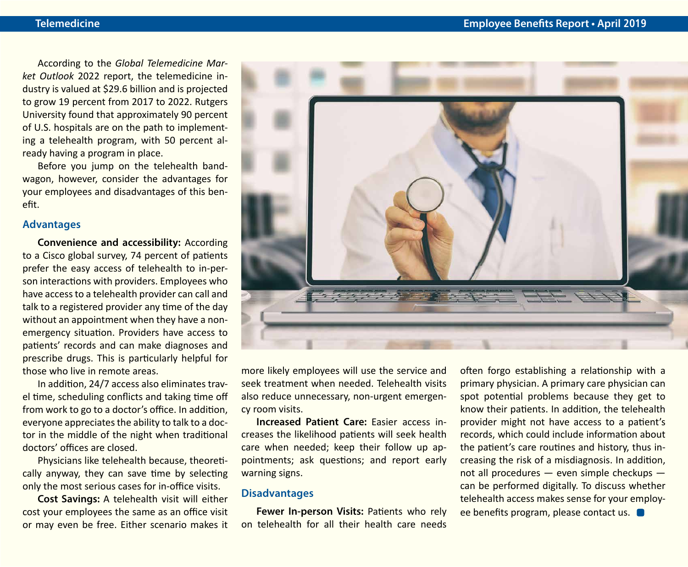According to the *Global Telemedicine Market Outlook* 2022 report, the telemedicine industry is valued at \$29.6 billion and is projected to grow 19 percent from 2017 to 2022. Rutgers University found that approximately 90 percent of U.S. hospitals are on the path to implementing a telehealth program, with 50 percent already having a program in place.

Before you jump on the telehealth bandwagon, however, consider the advantages for your employees and disadvantages of this benefit.

#### **Advantages**

**Convenience and accessibility:** According to a Cisco global survey, 74 percent of patients prefer the easy access of telehealth to in-person interactions with providers. Employees who have access to a telehealth provider can call and talk to a registered provider any time of the day without an appointment when they have a nonemergency situation. Providers have access to patients' records and can make diagnoses and prescribe drugs. This is particularly helpful for those who live in remote areas.

In addition, 24/7 access also eliminates travel time, scheduling conflicts and taking time off from work to go to a doctor's office. In addition, everyone appreciates the ability to talk to a doctor in the middle of the night when traditional doctors' offices are closed.

Physicians like telehealth because, theoretically anyway, they can save time by selecting only the most serious cases for in-office visits.

**Cost Savings:** A telehealth visit will either cost your employees the same as an office visit or may even be free. Either scenario makes it



more likely employees will use the service and seek treatment when needed. Telehealth visits also reduce unnecessary, non-urgent emergency room visits.

**Increased Patient Care:** Easier access increases the likelihood patients will seek health care when needed; keep their follow up appointments; ask questions; and report early warning signs.

#### **Disadvantages**

**Fewer In-person Visits:** Patients who rely on telehealth for all their health care needs

often forgo establishing a relationship with a primary physician. A primary care physician can spot potential problems because they get to know their patients. In addition, the telehealth provider might not have access to a patient's records, which could include information about the patient's care routines and history, thus increasing the risk of a misdiagnosis. In addition, not all procedures — even simple checkups can be performed digitally. To discuss whether telehealth access makes sense for your employee benefits program, please contact us.